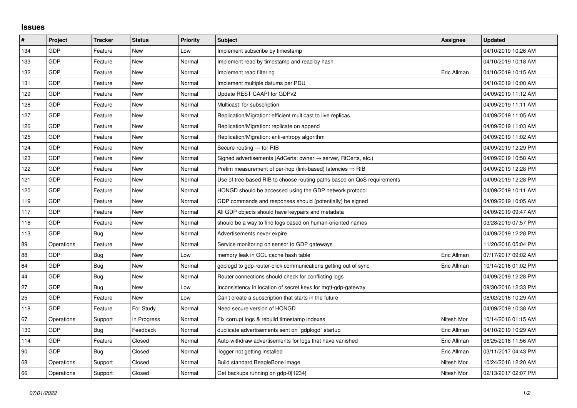## **Issues**

| $\sharp$ | Project    | <b>Tracker</b> | <b>Status</b> | <b>Priority</b> | <b>Subject</b>                                                             | Assignee    | <b>Updated</b>      |
|----------|------------|----------------|---------------|-----------------|----------------------------------------------------------------------------|-------------|---------------------|
| 134      | GDP        | Feature        | <b>New</b>    | Low             | Implement subscribe by timestamp                                           |             | 04/10/2019 10:26 AM |
| 133      | GDP        | Feature        | New           | Normal          | Implement read by timestamp and read by hash                               |             | 04/10/2019 10:18 AM |
| 132      | GDP        | Feature        | New           | Normal          | Implement read filtering                                                   | Eric Allman | 04/10/2019 10:15 AM |
| 131      | GDP        | Feature        | New           | Normal          | Implement multiple datums per PDU                                          |             | 04/10/2019 10:00 AM |
| 129      | GDP        | Feature        | New           | Normal          | Update REST CAAPI for GDPv2                                                |             | 04/09/2019 11:12 AM |
| 128      | GDP        | Feature        | New           | Normal          | Multicast: for subscription                                                |             | 04/09/2019 11:11 AM |
| 127      | GDP        | Feature        | New           | Normal          | Replication/Migration: efficient multicast to live replicas                |             | 04/09/2019 11:05 AM |
| 126      | GDP        | Feature        | New           | Normal          | Replication/Migration: replicate on append                                 |             | 04/09/2019 11:03 AM |
| 125      | GDP        | Feature        | New           | Normal          | Replication/Migration: anti-entropy algorithm                              |             | 04/09/2019 11:02 AM |
| 124      | GDP        | Feature        | New           | Normal          | Secure-routing - for RIB                                                   |             | 04/09/2019 12:29 PM |
| 123      | GDP        | Feature        | New           | Normal          | Signed advertisements (AdCerts: owner $\rightarrow$ server, RtCerts, etc.) |             | 04/09/2019 10:58 AM |
| 122      | GDP        | Feature        | New           | Normal          | Prelim measurement of per-hop (link-based) latencies $\Rightarrow$ RIB     |             | 04/09/2019 12:28 PM |
| 121      | GDP        | Feature        | <b>New</b>    | Normal          | Use of tree-based RIB to choose routing paths based on QoS requirements    |             | 04/09/2019 12:28 PM |
| 120      | GDP        | Feature        | New           | Normal          | HONGD should be accessed using the GDP network protocol                    |             | 04/09/2019 10:11 AM |
| 119      | GDP        | Feature        | New           | Normal          | GDP commands and responses should (potentially) be signed                  |             | 04/09/2019 10:05 AM |
| 117      | GDP        | Feature        | <b>New</b>    | Normal          | All GDP objects should have keypairs and metadata                          |             | 04/09/2019 09:47 AM |
| 116      | GDP        | Feature        | New           | Normal          | should be a way to find logs based on human-oriented names                 |             | 03/28/2019 07:57 PM |
| 113      | GDP        | Bug            | New           | Normal          | Advertisements never expire                                                |             | 04/09/2019 12:28 PM |
| 89       | Operations | Feature        | <b>New</b>    | Normal          | Service monitoring on sensor to GDP gateways                               |             | 11/20/2016 05:04 PM |
| 88       | GDP        | Bug            | New           | Low             | memory leak in GCL cache hash table                                        | Eric Allman | 07/17/2017 09:02 AM |
| 64       | GDP        | Bug            | New           | Normal          | gdplogd to gdp-router-click communications getting out of sync             | Eric Allman | 10/14/2016 01:02 PM |
| 44       | GDP        | Bug            | New           | Normal          | Router connections should check for conflicting logs                       |             | 04/09/2019 12:28 PM |
| 27       | GDP        | Bug            | New           | Low             | Inconsistency in location of secret keys for mgtt-gdp-gateway              |             | 09/30/2016 12:33 PM |
| 25       | GDP        | Feature        | New           | Low             | Can't create a subscription that starts in the future                      |             | 08/02/2016 10:29 AM |
| 118      | GDP        | Feature        | For Study     | Normal          | Need secure version of HONGD                                               |             | 04/09/2019 10:38 AM |
| 67       | Operations | Support        | In Progress   | Normal          | Fix corrupt logs & rebuild timestamp indexes                               | Nitesh Mor  | 10/14/2016 01:15 AM |
| 130      | GDP        | Bug            | Feedback      | Normal          | duplicate advertisements sent on `gdplogd` startup                         | Eric Allman | 04/10/2019 10:29 AM |
| 114      | GDP        | Feature        | Closed        | Normal          | Auto-withdraw advertisements for logs that have vanished                   | Eric Allman | 06/25/2018 11:56 AM |
| 90       | <b>GDP</b> | Bug            | Closed        | Normal          | llogger not getting installed                                              | Eric Allman | 03/11/2017 04:43 PM |
| 68       | Operations | Support        | Closed        | Normal          | Build standard BeagleBone image                                            | Nitesh Mor  | 10/24/2016 12:20 AM |
| 66       | Operations | Support        | Closed        | Normal          | Get backups running on gdp-0[1234]                                         | Nitesh Mor  | 02/13/2017 02:07 PM |